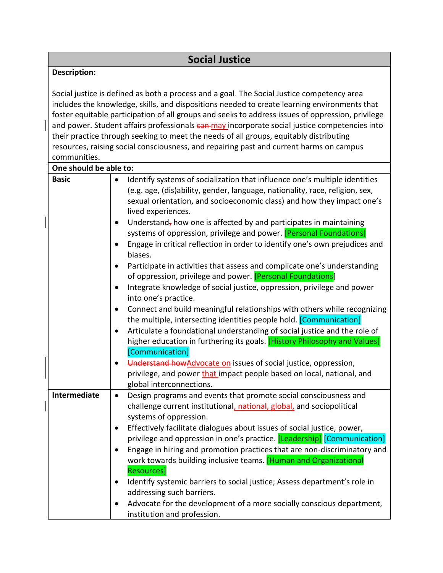## **Description:**

Social justice is defined as both a process and a goal. The Social Justice competency area includes the knowledge, skills, and dispositions needed to create learning environments that foster equitable participation of all groups and seeks to address issues of oppression, privilege and power. Student affairs professionals can may incorporate social justice competencies into their practice through seeking to meet the needs of all groups, equitably distributing resources, raising social consciousness, and repairing past and current harms on campus communities.

| One should be able to: |                                                                                                                                                                                                                                                                                                                                                                                                                                                                                                                                                                                                                                                                                                                                                                                                                                                                                                                                                                                                                                                                                                                                                                                                                                                                                                                                    |
|------------------------|------------------------------------------------------------------------------------------------------------------------------------------------------------------------------------------------------------------------------------------------------------------------------------------------------------------------------------------------------------------------------------------------------------------------------------------------------------------------------------------------------------------------------------------------------------------------------------------------------------------------------------------------------------------------------------------------------------------------------------------------------------------------------------------------------------------------------------------------------------------------------------------------------------------------------------------------------------------------------------------------------------------------------------------------------------------------------------------------------------------------------------------------------------------------------------------------------------------------------------------------------------------------------------------------------------------------------------|
| <b>Basic</b>           | Identify systems of socialization that influence one's multiple identities<br>$\bullet$<br>(e.g. age, (dis)ability, gender, language, nationality, race, religion, sex,<br>sexual orientation, and socioeconomic class) and how they impact one's<br>lived experiences.<br>Understand, how one is affected by and participates in maintaining<br>$\bullet$<br>systems of oppression, privilege and power. [Personal Foundations]<br>Engage in critical reflection in order to identify one's own prejudices and<br>biases.<br>Participate in activities that assess and complicate one's understanding<br>$\bullet$<br>of oppression, privilege and power. [Personal Foundations]<br>Integrate knowledge of social justice, oppression, privilege and power<br>$\bullet$<br>into one's practice.<br>Connect and build meaningful relationships with others while recognizing<br>$\bullet$<br>the multiple, intersecting identities people hold. [Communication]<br>Articulate a foundational understanding of social justice and the role of<br>$\bullet$<br>higher education in furthering its goals. [History Philosophy and Values]<br>[Communication]<br>Understand how Advocate on issues of social justice, oppression,<br>privilege, and power that impact people based on local, national, and<br>global interconnections. |
| <b>Intermediate</b>    | Design programs and events that promote social consciousness and<br>$\bullet$<br>challenge current institutional, national, global, and sociopolitical<br>systems of oppression.<br>Effectively facilitate dialogues about issues of social justice, power,<br>$\bullet$<br>privilege and oppression in one's practice. [Leadership] [Communication]<br>Engage in hiring and promotion practices that are non-discriminatory and<br>work towards building inclusive teams. [Human and Organizational<br><b>Resources</b> ]<br>Identify systemic barriers to social justice; Assess department's role in<br>addressing such barriers.<br>Advocate for the development of a more socially conscious department,<br>institution and profession.                                                                                                                                                                                                                                                                                                                                                                                                                                                                                                                                                                                       |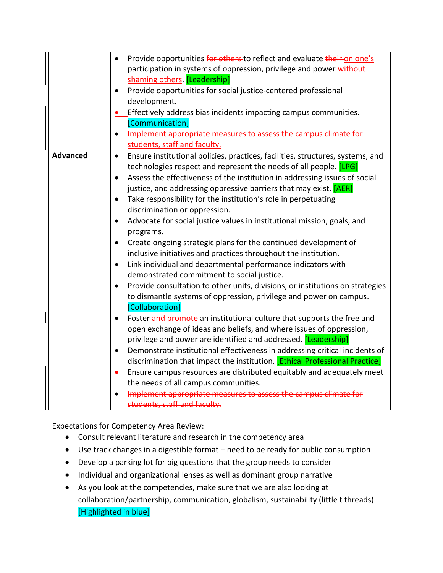|                 | Provide opportunities for others-to reflect and evaluate their-on one's<br>$\bullet$        |
|-----------------|---------------------------------------------------------------------------------------------|
|                 | participation in systems of oppression, privilege and power without                         |
|                 | shaming others. [Leadership]                                                                |
|                 | Provide opportunities for social justice-centered professional<br>$\bullet$                 |
|                 | development.                                                                                |
|                 | Effectively address bias incidents impacting campus communities.                            |
|                 | [Communication]                                                                             |
|                 | Implement appropriate measures to assess the campus climate for<br>$\bullet$                |
|                 | students, staff and faculty.                                                                |
| <b>Advanced</b> | Ensure institutional policies, practices, facilities, structures, systems, and<br>$\bullet$ |
|                 | technologies respect and represent the needs of all people. [LPG]                           |
|                 | Assess the effectiveness of the institution in addressing issues of social<br>$\bullet$     |
|                 | justice, and addressing oppressive barriers that may exist. [AER]                           |
|                 | Take responsibility for the institution's role in perpetuating<br>$\bullet$                 |
|                 | discrimination or oppression.                                                               |
|                 | Advocate for social justice values in institutional mission, goals, and<br>$\bullet$        |
|                 | programs.                                                                                   |
|                 | Create ongoing strategic plans for the continued development of<br>$\bullet$                |
|                 | inclusive initiatives and practices throughout the institution.                             |
|                 | Link individual and departmental performance indicators with<br>$\bullet$                   |
|                 | demonstrated commitment to social justice.                                                  |
|                 | Provide consultation to other units, divisions, or institutions on strategies<br>$\bullet$  |
|                 | to dismantle systems of oppression, privilege and power on campus.                          |
|                 | [Collaboration]                                                                             |
|                 | Foster and promote an institutional culture that supports the free and<br>$\bullet$         |
|                 | open exchange of ideas and beliefs, and where issues of oppression,                         |
|                 | privilege and power are identified and addressed. [Leadership]                              |
|                 | Demonstrate institutional effectiveness in addressing critical incidents of<br>$\bullet$    |
|                 | discrimination that impact the institution. [Ethical Professional Practice]                 |
|                 | Ensure campus resources are distributed equitably and adequately meet                       |
|                 | the needs of all campus communities.                                                        |
|                 | Implement appropriate measures to assess the campus climate for                             |
|                 | students, staff and faculty.                                                                |
|                 |                                                                                             |

Expectations for Competency Area Review:

- Consult relevant literature and research in the competency area
- Use track changes in a digestible format need to be ready for public consumption
- Develop a parking lot for big questions that the group needs to consider
- Individual and organizational lenses as well as dominant group narrative
- As you look at the competencies, make sure that we are also looking at collaboration/partnership, communication, globalism, sustainability (little t threads) [Highlighted in blue]